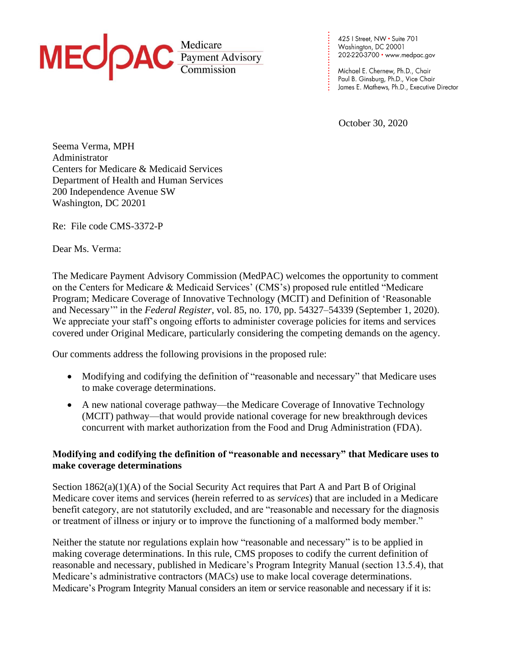

425 | Street, NW • Suite 701<br>Washington, DC 20001 202-220-3700 • www.medpac.gov

**. . . . . . . . . . . . . . . . . . . . . . . .**

Michael E. Chernew, Ph.D., Chair Paul B. Ginsburg, Ph.D., Vice Chair James E. Mathews, Ph.D., Executive Director

October 30, 2020

Seema Verma, MPH Administrator Centers for Medicare & Medicaid Services Department of Health and Human Services 200 Independence Avenue SW Washington, DC 20201

Re: File code CMS-3372-P

Dear Ms. Verma:

The Medicare Payment Advisory Commission (MedPAC) welcomes the opportunity to comment on the Centers for Medicare & Medicaid Services' (CMS's) proposed rule entitled "Medicare Program; Medicare Coverage of Innovative Technology (MCIT) and Definition of 'Reasonable and Necessary'" in the *Federal Register*, vol. 85, no. 170, pp. 54327–54339 (September 1, 2020). We appreciate your staff's ongoing efforts to administer coverage policies for items and services covered under Original Medicare, particularly considering the competing demands on the agency.

Our comments address the following provisions in the proposed rule:

- Modifying and codifying the definition of "reasonable and necessary" that Medicare uses to make coverage determinations.
- A new national coverage pathway—the Medicare Coverage of Innovative Technology (MCIT) pathway—that would provide national coverage for new breakthrough devices concurrent with market authorization from the Food and Drug Administration (FDA).

# **Modifying and codifying the definition of "reasonable and necessary" that Medicare uses to make coverage determinations**

Section 1862(a)(1)(A) of the Social Security Act requires that Part A and Part B of Original Medicare cover items and services (herein referred to as *services*) that are included in a Medicare benefit category, are not statutorily excluded, and are "reasonable and necessary for the diagnosis or treatment of illness or injury or to improve the functioning of a malformed body member."

Neither the statute nor regulations explain how "reasonable and necessary" is to be applied in making coverage determinations. In this rule, CMS proposes to codify the current definition of reasonable and necessary, published in Medicare's Program Integrity Manual (section 13.5.4), that Medicare's administrative contractors (MACs) use to make local coverage determinations. Medicare's Program Integrity Manual considers an item or service reasonable and necessary if it is: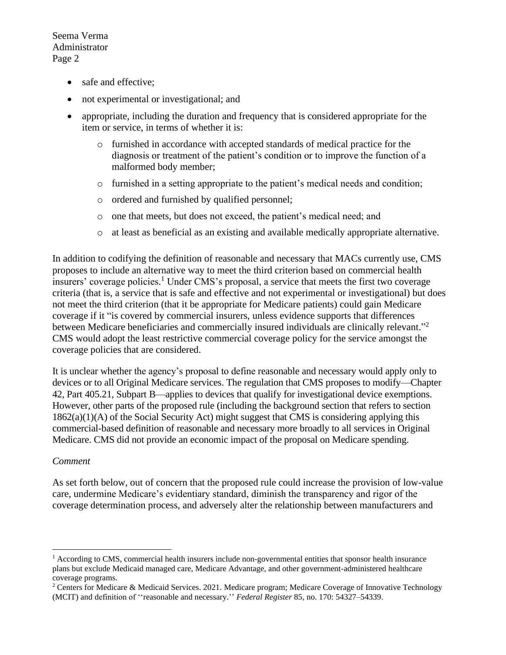- safe and effective;
- not experimental or investigational; and
- appropriate, including the duration and frequency that is considered appropriate for the item or service, in terms of whether it is:
	- o furnished in accordance with accepted standards of medical practice for the diagnosis or treatment of the patient's condition or to improve the function of a malformed body member;
	- o furnished in a setting appropriate to the patient's medical needs and condition;
	- o ordered and furnished by qualified personnel;
	- o one that meets, but does not exceed, the patient's medical need; and
	- o at least as beneficial as an existing and available medically appropriate alternative.

In addition to codifying the definition of reasonable and necessary that MACs currently use, CMS proposes to include an alternative way to meet the third criterion based on commercial health insurers' coverage policies. <sup>1</sup> Under CMS's proposal, a service that meets the first two coverage criteria (that is, a service that is safe and effective and not experimental or investigational) but does not meet the third criterion (that it be appropriate for Medicare patients) could gain Medicare coverage if it "is covered by commercial insurers, unless evidence supports that differences between Medicare beneficiaries and commercially insured individuals are clinically relevant."<sup>2</sup> CMS would adopt the least restrictive commercial coverage policy for the service amongst the coverage policies that are considered.

It is unclear whether the agency's proposal to define reasonable and necessary would apply only to devices or to all Original Medicare services. The regulation that CMS proposes to modify—Chapter 42, Part 405.21, Subpart B—applies to devices that qualify for investigational device exemptions. However, other parts of the proposed rule (including the background section that refers to section 1862(a)(1)(A) of the Social Security Act) might suggest that CMS is considering applying this commercial-based definition of reasonable and necessary more broadly to all services in Original Medicare. CMS did not provide an economic impact of the proposal on Medicare spending.

#### *Comment*

As set forth below, out of concern that the proposed rule could increase the provision of low-value care, undermine Medicare's evidentiary standard, diminish the transparency and rigor of the coverage determination process, and adversely alter the relationship between manufacturers and

 $<sup>1</sup>$  According to CMS, commercial health insurers include non-governmental entities that sponsor health insurance</sup> plans but exclude Medicaid managed care, Medicare Advantage, and other government-administered healthcare coverage programs.

<sup>2</sup> Centers for Medicare & Medicaid Services. 2021. Medicare program; Medicare Coverage of Innovative Technology (MCIT) and definition of ''reasonable and necessary.'' *Federal Register* 85, no. 170: 54327–54339.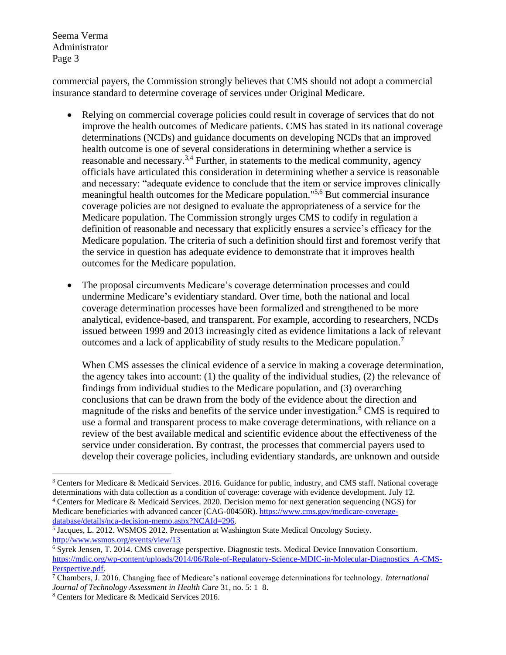commercial payers, the Commission strongly believes that CMS should not adopt a commercial insurance standard to determine coverage of services under Original Medicare.

- Relying on commercial coverage policies could result in coverage of services that do not improve the health outcomes of Medicare patients. CMS has stated in its national coverage determinations (NCDs) and guidance documents on developing NCDs that an improved health outcome is one of several considerations in determining whether a service is reasonable and necessary.3,4 Further, in statements to the medical community, agency officials have articulated this consideration in determining whether a service is reasonable and necessary: "adequate evidence to conclude that the item or service improves clinically meaningful health outcomes for the Medicare population."<sup>5,6</sup> But commercial insurance coverage policies are not designed to evaluate the appropriateness of a service for the Medicare population. The Commission strongly urges CMS to codify in regulation a definition of reasonable and necessary that explicitly ensures a service's efficacy for the Medicare population. The criteria of such a definition should first and foremost verify that the service in question has adequate evidence to demonstrate that it improves health outcomes for the Medicare population.
- The proposal circumvents Medicare's coverage determination processes and could undermine Medicare's evidentiary standard. Over time, both the national and local coverage determination processes have been formalized and strengthened to be more analytical, evidence-based, and transparent. For example, according to researchers, NCDs issued between 1999 and 2013 increasingly cited as evidence limitations a lack of relevant outcomes and a lack of applicability of study results to the Medicare population.<sup>7</sup>

When CMS assesses the clinical evidence of a service in making a coverage determination, the agency takes into account: (1) the quality of the individual studies, (2) the relevance of findings from individual studies to the Medicare population, and (3) overarching conclusions that can be drawn from the body of the evidence about the direction and magnitude of the risks and benefits of the service under investigation.<sup>8</sup> CMS is required to use a formal and transparent process to make coverage determinations, with reliance on a review of the best available medical and scientific evidence about the effectiveness of the service under consideration. By contrast, the processes that commercial payers used to develop their coverage policies, including evidentiary standards, are unknown and outside

<sup>&</sup>lt;sup>3</sup> Centers for Medicare & Medicaid Services. 2016. Guidance for public, industry, and CMS staff. National coverage determinations with data collection as a condition of coverage: coverage with evidence development. July 12. <sup>4</sup> Centers for Medicare & Medicaid Services. 2020. Decision memo for next generation sequencing (NGS) for Medicare beneficiaries with advanced cancer (CAG-00450R). [https://www.cms.gov/medicare-coverage](https://www.cms.gov/medicare-coverage-database/details/nca-decision-memo.aspx?NCAId=296)[database/details/nca-decision-memo.aspx?NCAId=296.](https://www.cms.gov/medicare-coverage-database/details/nca-decision-memo.aspx?NCAId=296)

<sup>&</sup>lt;sup>5</sup> Jacques, L. 2012. WSMOS 2012. Presentation at Washington State Medical Oncology Society. <http://www.wsmos.org/events/view/13>

<sup>6</sup> Syrek Jensen, T. 2014. CMS coverage perspective. Diagnostic tests. Medical Device Innovation Consortium. [https://mdic.org/wp-content/uploads/2014/06/Role-of-Regulatory-Science-MDIC-in-Molecular-Diagnostics\\_A-CMS-](https://mdic.org/wp-content/uploads/2014/06/Role-of-Regulatory-Science-MDIC-in-Molecular-Diagnostics_A-CMS-Perspective.pdf)[Perspective.pdf.](https://mdic.org/wp-content/uploads/2014/06/Role-of-Regulatory-Science-MDIC-in-Molecular-Diagnostics_A-CMS-Perspective.pdf) 

<sup>7</sup> Chambers, J. 2016. Changing face of Medicare's national coverage determinations for technology. *International Journal of Technology Assessment in Health Care* 31, no. 5: 1–8.

<sup>8</sup> Centers for Medicare & Medicaid Services 2016.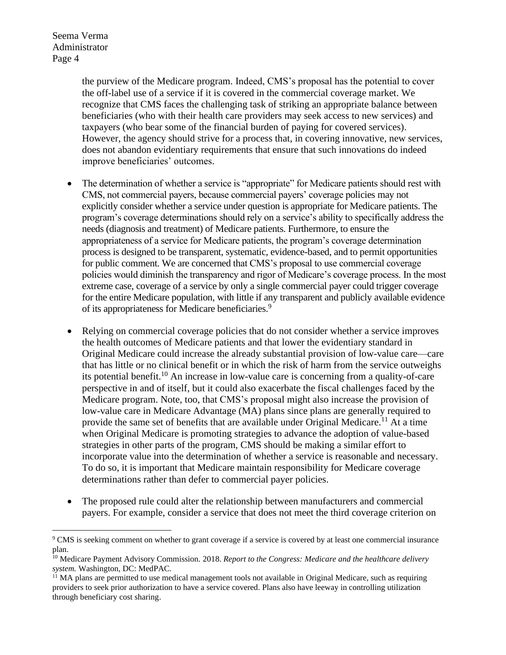> the purview of the Medicare program. Indeed, CMS's proposal has the potential to cover the off-label use of a service if it is covered in the commercial coverage market. We recognize that CMS faces the challenging task of striking an appropriate balance between beneficiaries (who with their health care providers may seek access to new services) and taxpayers (who bear some of the financial burden of paying for covered services). However, the agency should strive for a process that, in covering innovative, new services, does not abandon evidentiary requirements that ensure that such innovations do indeed improve beneficiaries' outcomes.

- The determination of whether a service is "appropriate" for Medicare patients should rest with CMS, not commercial payers, because commercial payers' coverage policies may not explicitly consider whether a service under question is appropriate for Medicare patients. The program's coverage determinations should rely on a service's ability to specifically address the needs (diagnosis and treatment) of Medicare patients. Furthermore, to ensure the appropriateness of a service for Medicare patients, the program's coverage determination process is designed to be transparent, systematic, evidence-based, and to permit opportunities for public comment. We are concerned that CMS's proposal to use commercial coverage policies would diminish the transparency and rigor of Medicare's coverage process. In the most extreme case, coverage of a service by only a single commercial payer could trigger coverage for the entire Medicare population, with little if any transparent and publicly available evidence of its appropriateness for Medicare beneficiaries.<sup>9</sup>
- Relying on commercial coverage policies that do not consider whether a service improves the health outcomes of Medicare patients and that lower the evidentiary standard in Original Medicare could increase the already substantial provision of low-value care—care that has little or no clinical benefit or in which the risk of harm from the service outweighs its potential benefit.<sup>10</sup> An increase in low-value care is concerning from a quality-of-care perspective in and of itself, but it could also exacerbate the fiscal challenges faced by the Medicare program. Note, too, that CMS's proposal might also increase the provision of low-value care in Medicare Advantage (MA) plans since plans are generally required to provide the same set of benefits that are available under Original Medicare.<sup>11</sup> At a time when Original Medicare is promoting strategies to advance the adoption of value-based strategies in other parts of the program, CMS should be making a similar effort to incorporate value into the determination of whether a service is reasonable and necessary. To do so, it is important that Medicare maintain responsibility for Medicare coverage determinations rather than defer to commercial payer policies.
- The proposed rule could alter the relationship between manufacturers and commercial payers. For example, consider a service that does not meet the third coverage criterion on

<sup>9</sup> CMS is seeking comment on whether to grant coverage if a service is covered by at least one commercial insurance plan.

<sup>10</sup> Medicare Payment Advisory Commission. 2018. *Report to the Congress: Medicare and the healthcare delivery system.* Washington, DC: MedPAC.

 $11$  MA plans are permitted to use medical management tools not available in Original Medicare, such as requiring providers to seek prior authorization to have a service covered. Plans also have leeway in controlling utilization through beneficiary cost sharing.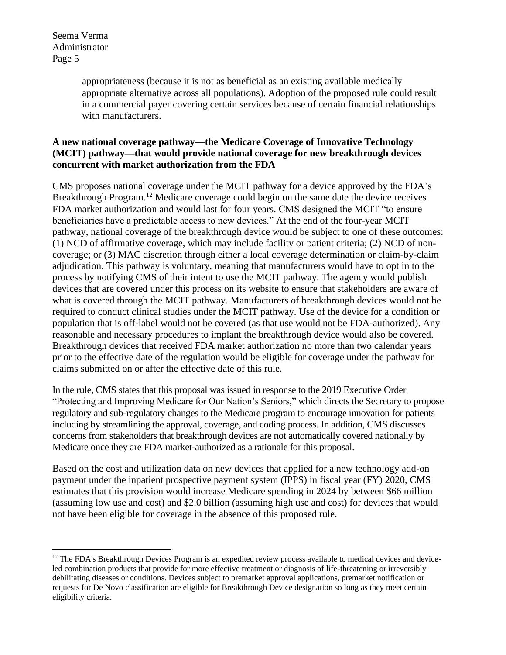> appropriateness (because it is not as beneficial as an existing available medically appropriate alternative across all populations). Adoption of the proposed rule could result in a commercial payer covering certain services because of certain financial relationships with manufacturers.

# **A new national coverage pathway—the Medicare Coverage of Innovative Technology (MCIT) pathway—that would provide national coverage for new breakthrough devices concurrent with market authorization from the FDA**

CMS proposes national coverage under the MCIT pathway for a device approved by the FDA's Breakthrough Program.<sup>12</sup> Medicare coverage could begin on the same date the device receives FDA market authorization and would last for four years. CMS designed the MCIT "to ensure beneficiaries have a predictable access to new devices." At the end of the four-year MCIT pathway, national coverage of the breakthrough device would be subject to one of these outcomes: (1) NCD of affirmative coverage, which may include facility or patient criteria; (2) NCD of noncoverage; or (3) MAC discretion through either a local coverage determination or claim-by-claim adjudication. This pathway is voluntary, meaning that manufacturers would have to opt in to the process by notifying CMS of their intent to use the MCIT pathway. The agency would publish devices that are covered under this process on its website to ensure that stakeholders are aware of what is covered through the MCIT pathway. Manufacturers of breakthrough devices would not be required to conduct clinical studies under the MCIT pathway. Use of the device for a condition or population that is off-label would not be covered (as that use would not be FDA-authorized). Any reasonable and necessary procedures to implant the breakthrough device would also be covered. Breakthrough devices that received FDA market authorization no more than two calendar years prior to the effective date of the regulation would be eligible for coverage under the pathway for claims submitted on or after the effective date of this rule.

In the rule, CMS states that this proposal was issued in response to the 2019 Executive Order "Protecting and Improving Medicare for Our Nation's Seniors," which directs the Secretary to propose regulatory and sub-regulatory changes to the Medicare program to encourage innovation for patients including by streamlining the approval, coverage, and coding process. In addition, CMS discusses concerns from stakeholders that breakthrough devices are not automatically covered nationally by Medicare once they are FDA market-authorized as a rationale for this proposal.

Based on the cost and utilization data on new devices that applied for a new technology add-on payment under the inpatient prospective payment system (IPPS) in fiscal year (FY) 2020, CMS estimates that this provision would increase Medicare spending in 2024 by between \$66 million (assuming low use and cost) and \$2.0 billion (assuming high use and cost) for devices that would not have been eligible for coverage in the absence of this proposed rule.

 $12$  The FDA's Breakthrough Devices Program is an expedited review process available to medical devices and deviceled combination products that provide for more effective treatment or diagnosis of life-threatening or irreversibly debilitating diseases or conditions. Devices subject to premarket approval applications, premarket notification or requests for De Novo classification are eligible for Breakthrough Device designation so long as they meet certain eligibility criteria.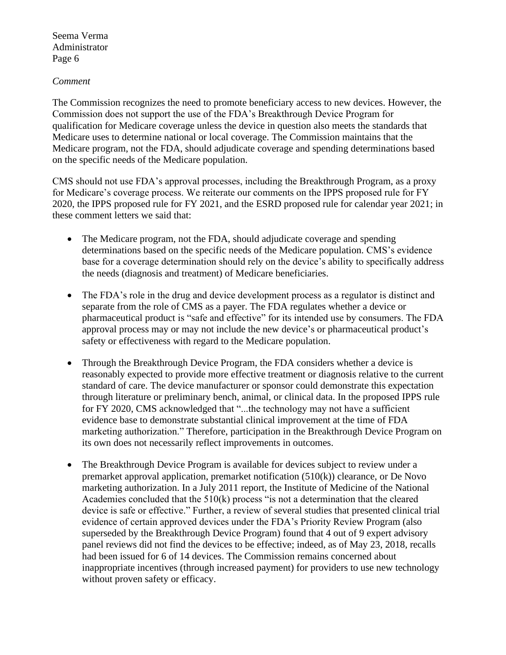#### *Comment*

The Commission recognizes the need to promote beneficiary access to new devices. However, the Commission does not support the use of the FDA's Breakthrough Device Program for qualification for Medicare coverage unless the device in question also meets the standards that Medicare uses to determine national or local coverage. The Commission maintains that the Medicare program, not the FDA, should adjudicate coverage and spending determinations based on the specific needs of the Medicare population.

CMS should not use FDA's approval processes, including the Breakthrough Program, as a proxy for Medicare's coverage process. We reiterate our comments on the IPPS proposed rule for FY 2020, the IPPS proposed rule for FY 2021, and the ESRD proposed rule for calendar year 2021; in these comment letters we said that:

- The Medicare program, not the FDA, should adjudicate coverage and spending determinations based on the specific needs of the Medicare population. CMS's evidence base for a coverage determination should rely on the device's ability to specifically address the needs (diagnosis and treatment) of Medicare beneficiaries.
- The FDA's role in the drug and device development process as a regulator is distinct and separate from the role of CMS as a payer. The FDA regulates whether a device or pharmaceutical product is "safe and effective" for its intended use by consumers. The FDA approval process may or may not include the new device's or pharmaceutical product's safety or effectiveness with regard to the Medicare population.
- Through the Breakthrough Device Program, the FDA considers whether a device is reasonably expected to provide more effective treatment or diagnosis relative to the current standard of care. The device manufacturer or sponsor could demonstrate this expectation through literature or preliminary bench, animal, or clinical data. In the proposed IPPS rule for FY 2020, CMS acknowledged that "...the technology may not have a sufficient evidence base to demonstrate substantial clinical improvement at the time of FDA marketing authorization." Therefore, participation in the Breakthrough Device Program on its own does not necessarily reflect improvements in outcomes.
- The Breakthrough Device Program is available for devices subject to review under a premarket approval application, premarket notification (510(k)) clearance, or De Novo marketing authorization. In a July 2011 report, the Institute of Medicine of the National Academies concluded that the  $510(k)$  process "is not a determination that the cleared device is safe or effective." Further, a review of several studies that presented clinical trial evidence of certain approved devices under the FDA's Priority Review Program (also superseded by the Breakthrough Device Program) found that 4 out of 9 expert advisory panel reviews did not find the devices to be effective; indeed, as of May 23, 2018, recalls had been issued for 6 of 14 devices. The Commission remains concerned about inappropriate incentives (through increased payment) for providers to use new technology without proven safety or efficacy.